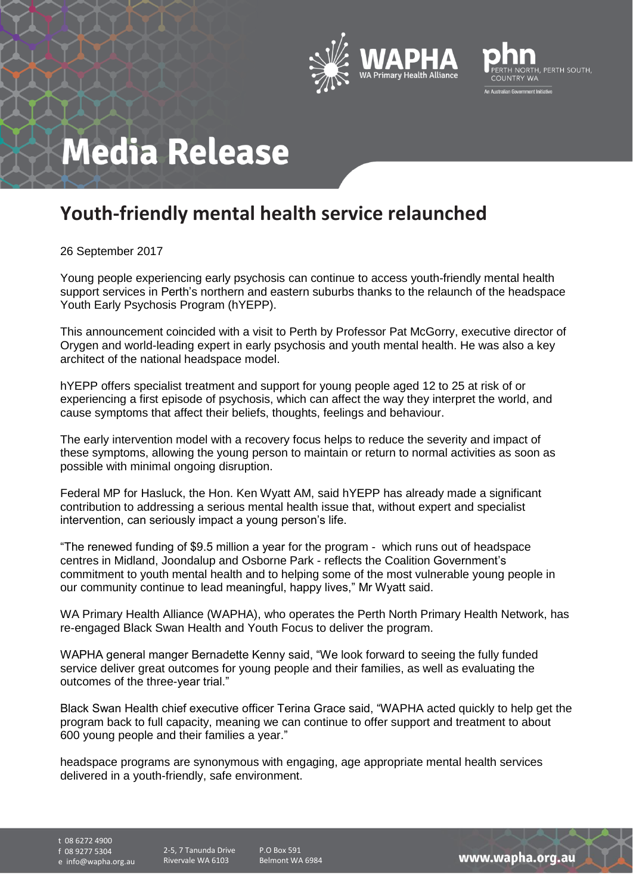



## **Media Release**

## **Youth-friendly mental health service relaunched**

26 September 2017

Young people experiencing early psychosis can continue to access youth-friendly mental health support services in Perth's northern and eastern suburbs thanks to the relaunch of the headspace Youth Early Psychosis Program (hYEPP).

This announcement coincided with a visit to Perth by Professor Pat McGorry, executive director of Orygen and world-leading expert in early psychosis and youth mental health. He was also a key architect of the national headspace model.

hYEPP offers specialist treatment and support for young people aged 12 to 25 at risk of or experiencing a first episode of psychosis, which can affect the way they interpret the world, and cause symptoms that affect their beliefs, thoughts, feelings and behaviour.

The early intervention model with a recovery focus helps to reduce the severity and impact of these symptoms, allowing the young person to maintain or return to normal activities as soon as possible with minimal ongoing disruption.

Federal MP for Hasluck, the Hon. Ken Wyatt AM, said hYEPP has already made a significant contribution to addressing a serious mental health issue that, without expert and specialist intervention, can seriously impact a young person's life.

"The renewed funding of \$9.5 million a year for the program - which runs out of headspace centres in Midland, Joondalup and Osborne Park - reflects the Coalition Government's commitment to youth mental health and to helping some of the most vulnerable young people in our community continue to lead meaningful, happy lives," Mr Wyatt said.

WA Primary Health Alliance (WAPHA), who operates the Perth North Primary Health Network, has re-engaged Black Swan Health and Youth Focus to deliver the program.

WAPHA general manger Bernadette Kenny said, "We look forward to seeing the fully funded service deliver great outcomes for young people and their families, as well as evaluating the outcomes of the three-year trial."

Black Swan Health chief executive officer Terina Grace said, "WAPHA acted quickly to help get the program back to full capacity, meaning we can continue to offer support and treatment to about 600 young people and their families a year."

headspace programs are synonymous with engaging, age appropriate mental health services delivered in a youth-friendly, safe environment.

t 08 6272 4900

f 08 9277 5304

e info@wapha.org.au

2-5, 7 Tanunda Drive Rivervale WA 6103

P.O Box 591 Belmont WA 6984

www.wapha.org.au